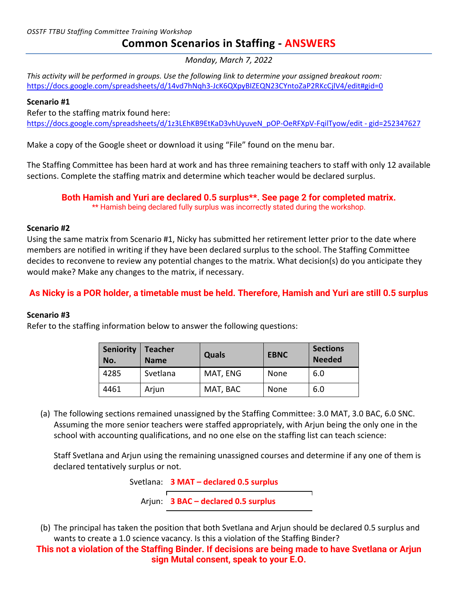# **Common Scenarios in Staffing - ANSWERS**

*Monday, March 7, 2022*

*This activity will be performed in groups. Use the following link to determine your assigned breakout room:* https://docs.google.com/spreadsheets/d/14vd7hNqh3-JcK6QXpyBIZEQN23CYntoZaP2RKcCjlV4/edit#gid=0

#### **Scenario #1**

Refer to the staffing matrix found here: https://docs.google.com/spreadsheets/d/1z3LEhKB9EtKaD3vhUyuveN\_pOP-OeRFXpV-FqilTyow/edit - gid=252347627

Make a copy of the Google sheet or download it using "File" found on the menu bar.

The Staffing Committee has been hard at work and has three remaining teachers to staff with only 12 available sections. Complete the staffing matrix and determine which teacher would be declared surplus.

**Both Hamish and Yuri are declared 0.5 surplus\*\*. See page 2 for completed matrix.** \*\* Hamish being declared fully surplus was incorrectly stated during the workshop.

#### **Scenario #2**

Using the same matrix from Scenario #1, Nicky has submitted her retirement letter prior to the date where members are notified in writing if they have been declared surplus to the school. The Staffing Committee decides to reconvene to review any potential changes to the matrix. What decision(s) do you anticipate they would make? Make any changes to the matrix, if necessary.

## **As Nicky is a POR holder, a timetable must be held. Therefore, Hamish and Yuri are still 0.5 surplus**

### **Scenario #3**

Refer to the staffing information below to answer the following questions:

| <b>Seniority</b><br>No. | <b>Teacher</b><br><b>Name</b> | Quals    | <b>EBNC</b> | <b>Sections</b><br><b>Needed</b> |
|-------------------------|-------------------------------|----------|-------------|----------------------------------|
| 4285                    | Svetlana                      | MAT, ENG | None        | 6.0                              |
| 4461                    | Arjun                         | MAT, BAC | None        | 6.0                              |

(a) The following sections remained unassigned by the Staffing Committee: 3.0 MAT, 3.0 BAC, 6.0 SNC. Assuming the more senior teachers were staffed appropriately, with Arjun being the only one in the school with accounting qualifications, and no one else on the staffing list can teach science:

Staff Svetlana and Arjun using the remaining unassigned courses and determine if any one of them is declared tentatively surplus or not.

Svetlana: **3 MAT – declared 0.5 surplus**

Arjun: **3 BAC – declared 0.5 surplus**

(b) The principal has taken the position that both Svetlana and Arjun should be declared 0.5 surplus and wants to create a 1.0 science vacancy. Is this a violation of the Staffing Binder?

**This not a violation of the Staffing Binder. If decisions are being made to have Svetlana or Arjun sign Mutal consent, speak to your E.O.**